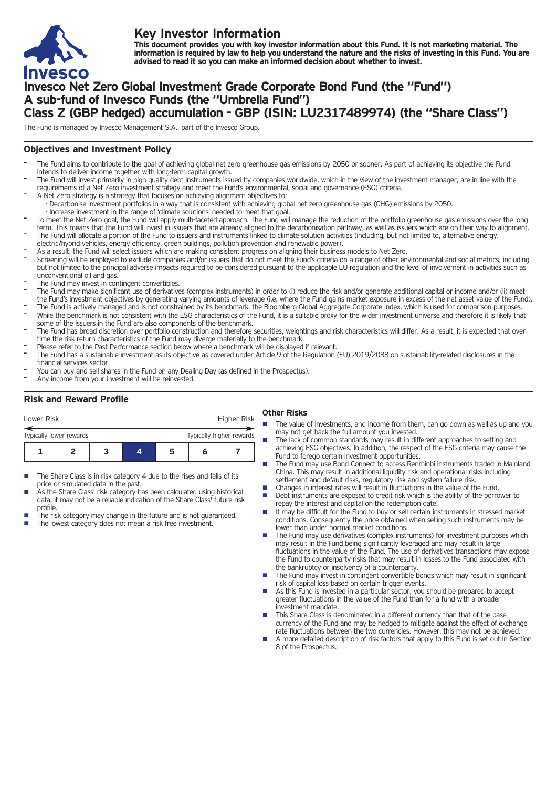

# **Key Investor Information**

This document provides you with key investor information about this Fund. It is not marketing material. The information is required by law to help you understand the nature and the risks of investing in this Fund. You are **advised to read it so you can make an informed decision about whether to invest.**

# **Invesco Net Zero Global Investment Grade Corporate Bond Fund (the "Fund") A sub-fund of Invesco Funds (the "Umbrella Fund") Class Z (GBP hedged) accumulation - GBP (ISIN: LU2317489974) (the "Share Class")**

The Fund is managed by Invesco Management S.A., part of the Invesco Group.

## **Objectives and Investment Policy**

- The Fund aims to contribute to the goal of achieving global net zero greenhouse gas emissions by 2050 or sooner. As part of achieving its objective the Fund intends to deliver income together with long-term capital growth.
- The Fund will invest primarily in high quality debt instruments issued by companies worldwide, which in the view of the investment manager, are in line with the requirements of a Net Zero investment strategy and meet the Fund's environmental, social and governance (ESG) criteria.
- A Net Zero strategy is a strategy that focuses on achieving alignment objectives to: - Decarbonise investment portfolios in a way that is consistent with achieving global net zero greenhouse gas (GHG) emissions by 2050.
- Increase investment in the range of 'climate solutions' needed to meet that goal.
- To meet the Net Zero goal, the Fund will apply multi-faceted approach. The Fund will manage the reduction of the portfolio greenhouse gas emissions over the long term. This means that the Fund will invest in issuers that are already aligned to the decarbonisation pathway, as well as issuers which are on their way to alignment. The Fund will allocate a portion of the Fund to issuers and instruments linked to climate solution activities (including, but not limited to, alternative energy,
- electric/hybrid vehicles, energy efficiency, green buildings, pollution prevention and renewable power).
- As a result, the Fund will select issuers which are making consistent progress on aligning their business models to Net Zero.
- Screening will be employed to exclude companies and/or issuers that do not meet the Fund's criteria on a range of other environmental and social metrics, including but not limited to the principal adverse impacts required to be considered pursuant to the applicable EU regulation and the level of involvement in activities such as unconventional oil and gas.
- The Fund may invest in contingent convertibles.
- The Fund may make significant use of derivatives (complex instruments) in order to (i) reduce the risk and/or generate additional capital or income and/or (ii) meet the Fund's investment objectives by generating varying amounts of leverage (i.e. where the Fund gains market exposure in excess of the net asset value of the Fund).
- The Fund is actively managed and is not constrained by its benchmark, the Bloomberg Global Aggregate Corporate Index, which is used for comparison purposes. While the benchmark is not consistent with the ESG characteristics of the Fund, it is a suitable proxy for the wider investment universe and therefore it is likely that some of the issuers in the Fund are also components of the benchmark.
- The Fund has broad discretion over portfolio construction and therefore securities, weightings and risk characteristics will differ. As a result, it is expected that over time the risk return characteristics of the Fund may diverge materially to the benchmark.
- Please refer to the Past Performance section below where a benchmark will be displayed if relevant.
- The Fund has a sustainable investment as its objective as covered under Article 9 of the Regulation (EU) 2019/2088 on sustainability-related disclosures in the financial services sector.
- You can buy and sell shares in the Fund on any Dealing Day (as defined in the Prospectus).
- Any income from your investment will be reinvested.

## **Risk and Reward Profile**

| Lower Risk              |  |                          |   | Higher Risk |  |
|-------------------------|--|--------------------------|---|-------------|--|
| Typically lower rewards |  | Typically higher rewards |   |             |  |
|                         |  |                          | ∽ |             |  |

- The Share Class is in risk category 4 due to the rises and falls of its price or simulated data in the past.
- As the Share Class' risk category has been calculated using historical data, it may not be a reliable indication of the Share Class' future risk profile.
- The risk category may change in the future and is not guaranteed. The lowest category does not mean a risk free investment.

### **Other Risks**

- The value of investments, and income from them, can go down as well as up and you may not get back the full amount you invested.
- The lack of common standards may result in different approaches to setting and achieving ESG objectives. In addition, the respect of the ESG criteria may cause the Fund to forego certain investment opportunities.
- The Fund may use Bond Connect to access Renminbi instruments traded in Mainland China. This may result in additional liquidity risk and operational risks including settlement and default risks, regulatory risk and system failure risk.
- Changes in interest rates will result in fluctuations in the value of the Fund.<br>■ Debt instruments are exposed to credit risk which is the ability of the borre
- Debt instruments are exposed to credit risk which is the ability of the borrower to repay the interest and capital on the redemption date.
- $\blacksquare$  It may be difficult for the Fund to buy or sell certain instruments in stressed market conditions. Consequently the price obtained when selling such instruments may be lower than under normal market conditions.
- The Fund may use derivatives (complex instruments) for investment purposes which may result in the Fund being significantly leveraged and may result in large fluctuations in the value of the Fund. The use of derivatives transactions may expose the Fund to counterparty risks that may result in losses to the Fund associated with the bankruptcy or insolvency of a counterparty.
- The Fund may invest in contingent convertible bonds which may result in significant risk of capital loss based on certain trigger events.
- n As this Fund is invested in a particular sector, you should be prepared to accept greater fluctuations in the value of the Fund than for a fund with a broader investment mandate.
- This Share Class is denominated in a different currency than that of the base currency of the Fund and may be hedged to mitigate against the effect of exchange rate fluctuations between the two currencies. However, this may not be achieved.
- n A more detailed description of risk factors that apply to this Fund is set out in Section 8 of the Prospectus.